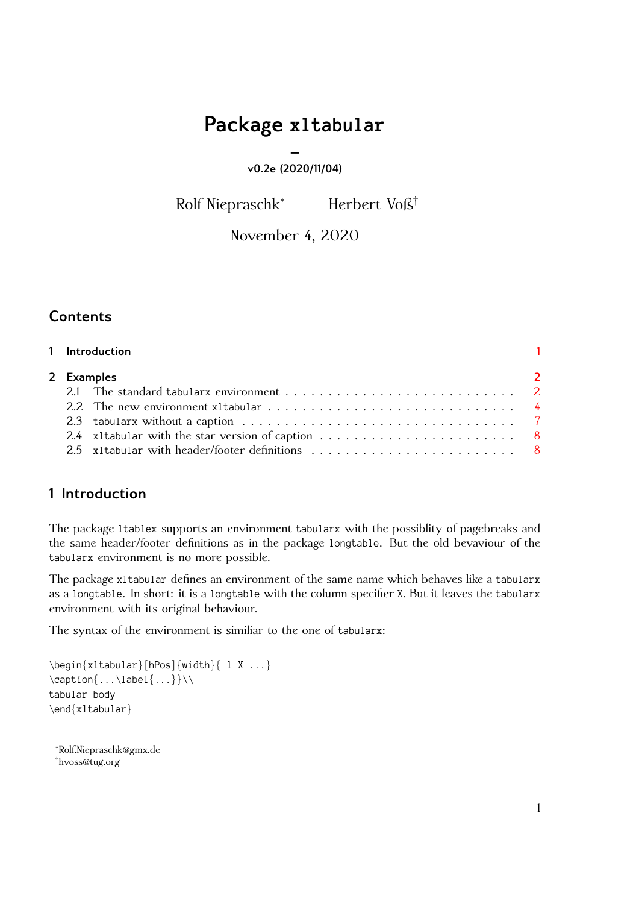# **Package xltabular**

**– v0.2e (2020/11/04)**

Rolf Niepraschk\* Herbert Voß†

November 4, 2020

## **Contents**

|            |  | 1 Introduction                                                                                    |  |
|------------|--|---------------------------------------------------------------------------------------------------|--|
| 2 Examples |  |                                                                                                   |  |
|            |  |                                                                                                   |  |
|            |  |                                                                                                   |  |
|            |  |                                                                                                   |  |
|            |  | 2.4 x1tabular with the star version of caption $\ldots \ldots \ldots \ldots \ldots \ldots \ldots$ |  |
|            |  |                                                                                                   |  |

## <span id="page-0-0"></span>**1 Introduction**

The package ltablex supports an environment tabularx with the possiblity of pagebreaks and the same header/footer definitions as in the package longtable. But the old bevaviour of the tabularx environment is no more possible.

The package xltabular defines an environment of the same name which behaves like a tabularx as a longtable. In short: it is a longtable with the column specifier X. But it leaves the tabularx environment with its original behaviour.

The syntax of the environment is similiar to the one of tabularx:

```
\begin{xltabular}[hPos]{width}{ l X ...}
\emptyset...\label{eq:1}tabular body
\end{xltabular}
```
<sup>\*</sup>Rolf.Niepraschk@gmx.de

<sup>†</sup>hvoss@tug.org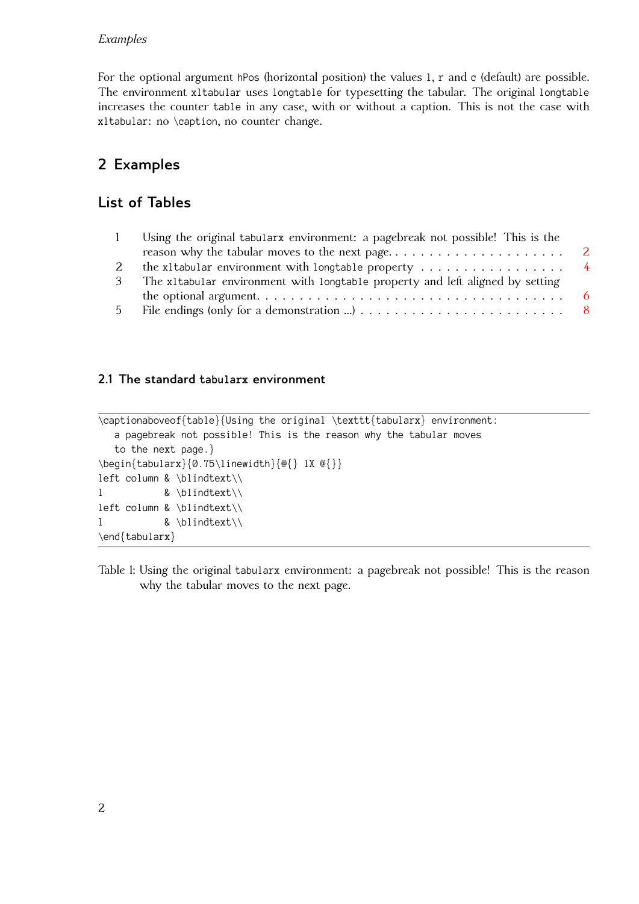#### *Examples*

For the optional argument hPos (horizontal position) the values l, r and c (default) are possible. The environment xltabular uses longtable for typesetting the tabular. The original longtable increases the counter table in any case, with or without a caption. This is not the case with xltabular: no \caption, no counter change.

## <span id="page-1-0"></span>**2 Examples**

## **List of Tables**

| Using the original tabularx environment: a pagebreak not possible! This is the    |  |
|-----------------------------------------------------------------------------------|--|
|                                                                                   |  |
| the x1tabular environment with longtable property $\dots \dots \dots \dots \dots$ |  |
| 3 The x1tabu1ar environment with 1 ongtab1e property and left aligned by setting  |  |
|                                                                                   |  |
|                                                                                   |  |
|                                                                                   |  |

#### <span id="page-1-1"></span>**2.1 The standard tabularx environment**

```
\captionaboveof{table}{Using the original \texttt{tabularx} environment:
  a pagebreak not possible! This is the reason why the tabular moves
  to the next page.}
\begin{tabularx}{0.75\linewidth}{@{} lX @{}}
left column & \blindtext\\
l & \blindtext\\
left column & \blindtext\\
l & \blindtext\\
\end{tabularx}
```
<span id="page-1-2"></span>Table 1: Using the original tabularx environment: a pagebreak not possible! This is the reason why the tabular moves to the next page.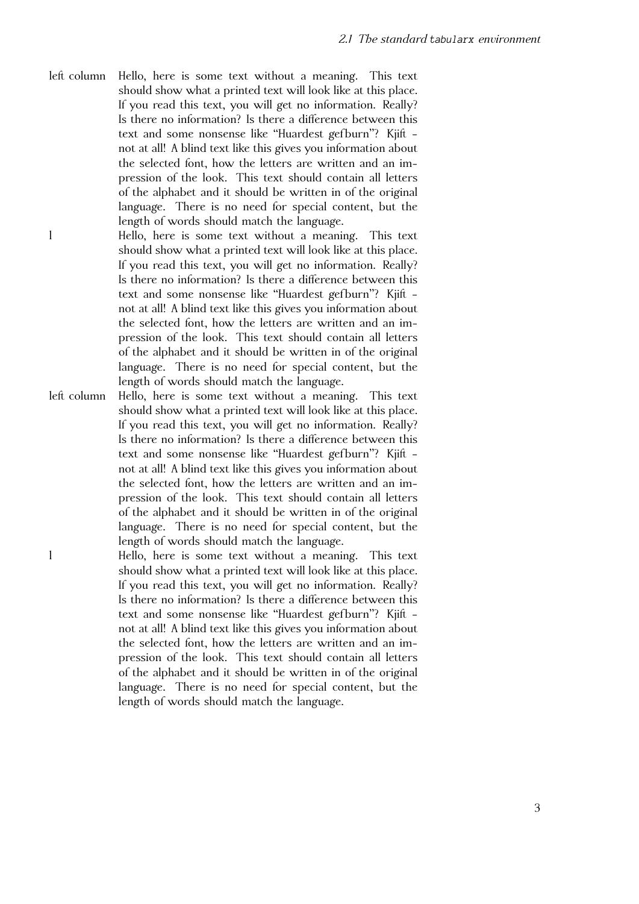left column Hello, here is some text without a meaning. This text should show what a printed text will look like at this place. If you read this text, you will get no information. Really? Is there no information? Is there a difference between this text and some nonsense like "Huardest gef burn"? Kjift not at all! A blind text like this gives you information about the selected font, how the letters are written and an impression of the look. This text should contain all letters of the alphabet and it should be written in of the original language. There is no need for special content, but the length of words should match the language.

l Hello, here is some text without a meaning. This text should show what a printed text will look like at this place. If you read this text, you will get no information. Really? Is there no information? Is there a difference between this text and some nonsense like "Huardest gefburn"? Kjift not at all! A blind text like this gives you information about the selected font, how the letters are written and an impression of the look. This text should contain all letters of the alphabet and it should be written in of the original language. There is no need for special content, but the length of words should match the language.

- left column Hello, here is some text without a meaning. This text should show what a printed text will look like at this place. If you read this text, you will get no information. Really? Is there no information? Is there a difference between this text and some nonsense like "Huardest gefburn"? Kjift not at all! A blind text like this gives you information about the selected font, how the letters are written and an impression of the look. This text should contain all letters of the alphabet and it should be written in of the original language. There is no need for special content, but the length of words should match the language.
- l Hello, here is some text without a meaning. This text should show what a printed text will look like at this place. If you read this text, you will get no information. Really? Is there no information? Is there a difference between this text and some nonsense like "Huardest gefburn"? Kjift not at all! A blind text like this gives you information about the selected font, how the letters are written and an impression of the look. This text should contain all letters of the alphabet and it should be written in of the original language. There is no need for special content, but the length of words should match the language.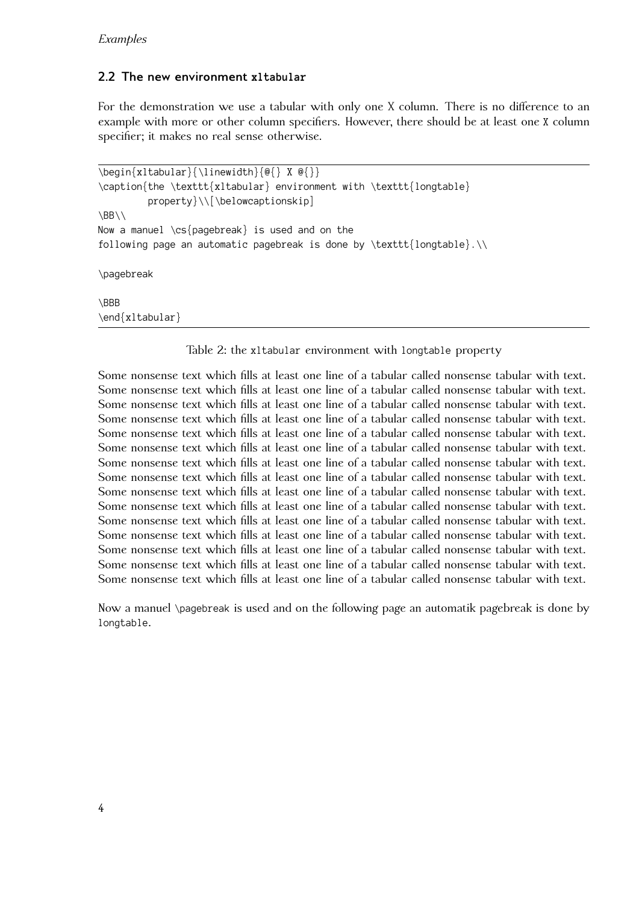#### <span id="page-3-0"></span>**2.2 The new environment xltabular**

For the demonstration we use a tabular with only one X column. There is no difference to an example with more or other column specifiers. However, there should be at least one X column specifier; it makes no real sense otherwise.

```
\overline{\text{vltabular}}{\line{\text{dth}}\{\text{@}} \; X \; \text{@}}\caption{the \texttt{xltabular} environment with \texttt{longtable}
          property}\\[\belowcaptionskip]
\Bbb NNow a manuel \cs{pagebreak} is used and on the
following page an automatic pagebreak is done by \texttt{longtable}.\\
\pagebreak
```
\BBB \end{xltabular}

Table 2: the xltabular environment with longtable property

<span id="page-3-1"></span>Some nonsense text which fills at least one line of a tabular called nonsense tabular with text. Some nonsense text which fills at least one line of a tabular called nonsense tabular with text. Some nonsense text which fills at least one line of a tabular called nonsense tabular with text. Some nonsense text which fills at least one line of a tabular called nonsense tabular with text. Some nonsense text which fills at least one line of a tabular called nonsense tabular with text. Some nonsense text which fills at least one line of a tabular called nonsense tabular with text. Some nonsense text which fills at least one line of a tabular called nonsense tabular with text. Some nonsense text which fills at least one line of a tabular called nonsense tabular with text. Some nonsense text which fills at least one line of a tabular called nonsense tabular with text. Some nonsense text which fills at least one line of a tabular called nonsense tabular with text. Some nonsense text which fills at least one line of a tabular called nonsense tabular with text. Some nonsense text which fills at least one line of a tabular called nonsense tabular with text. Some nonsense text which fills at least one line of a tabular called nonsense tabular with text. Some nonsense text which fills at least one line of a tabular called nonsense tabular with text. Some nonsense text which fills at least one line of a tabular called nonsense tabular with text.

Now a manuel \pagebreak is used and on the following page an automatik pagebreak is done by longtable.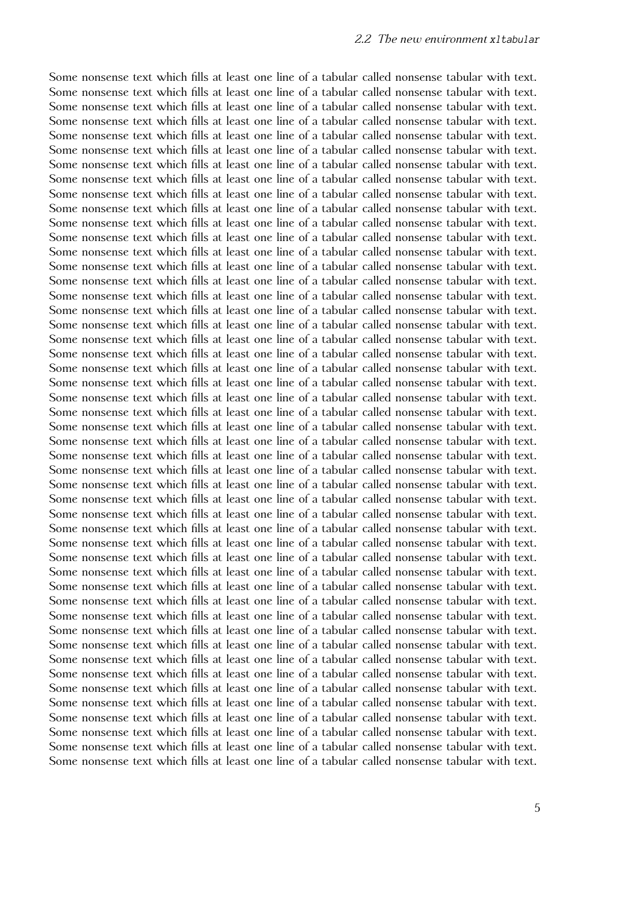Some nonsense text which fills at least one line of a tabular called nonsense tabular with text. Some nonsense text which fills at least one line of a tabular called nonsense tabular with text. Some nonsense text which fills at least one line of a tabular called nonsense tabular with text. Some nonsense text which fills at least one line of a tabular called nonsense tabular with text. Some nonsense text which fills at least one line of a tabular called nonsense tabular with text. Some nonsense text which fills at least one line of a tabular called nonsense tabular with text. Some nonsense text which fills at least one line of a tabular called nonsense tabular with text. Some nonsense text which fills at least one line of a tabular called nonsense tabular with text. Some nonsense text which fills at least one line of a tabular called nonsense tabular with text. Some nonsense text which fills at least one line of a tabular called nonsense tabular with text. Some nonsense text which fills at least one line of a tabular called nonsense tabular with text. Some nonsense text which fills at least one line of a tabular called nonsense tabular with text. Some nonsense text which fills at least one line of a tabular called nonsense tabular with text. Some nonsense text which fills at least one line of a tabular called nonsense tabular with text. Some nonsense text which fills at least one line of a tabular called nonsense tabular with text. Some nonsense text which fills at least one line of a tabular called nonsense tabular with text. Some nonsense text which fills at least one line of a tabular called nonsense tabular with text. Some nonsense text which fills at least one line of a tabular called nonsense tabular with text. Some nonsense text which fills at least one line of a tabular called nonsense tabular with text. Some nonsense text which fills at least one line of a tabular called nonsense tabular with text. Some nonsense text which fills at least one line of a tabular called nonsense tabular with text. Some nonsense text which fills at least one line of a tabular called nonsense tabular with text. Some nonsense text which fills at least one line of a tabular called nonsense tabular with text. Some nonsense text which fills at least one line of a tabular called nonsense tabular with text. Some nonsense text which fills at least one line of a tabular called nonsense tabular with text. Some nonsense text which fills at least one line of a tabular called nonsense tabular with text. Some nonsense text which fills at least one line of a tabular called nonsense tabular with text. Some nonsense text which fills at least one line of a tabular called nonsense tabular with text. Some nonsense text which fills at least one line of a tabular called nonsense tabular with text. Some nonsense text which fills at least one line of a tabular called nonsense tabular with text. Some nonsense text which fills at least one line of a tabular called nonsense tabular with text. Some nonsense text which fills at least one line of a tabular called nonsense tabular with text. Some nonsense text which fills at least one line of a tabular called nonsense tabular with text. Some nonsense text which fills at least one line of a tabular called nonsense tabular with text. Some nonsense text which fills at least one line of a tabular called nonsense tabular with text. Some nonsense text which fills at least one line of a tabular called nonsense tabular with text. Some nonsense text which fills at least one line of a tabular called nonsense tabular with text. Some nonsense text which fills at least one line of a tabular called nonsense tabular with text. Some nonsense text which fills at least one line of a tabular called nonsense tabular with text. Some nonsense text which fills at least one line of a tabular called nonsense tabular with text. Some nonsense text which fills at least one line of a tabular called nonsense tabular with text. Some nonsense text which fills at least one line of a tabular called nonsense tabular with text. Some nonsense text which fills at least one line of a tabular called nonsense tabular with text. Some nonsense text which fills at least one line of a tabular called nonsense tabular with text. Some nonsense text which fills at least one line of a tabular called nonsense tabular with text. Some nonsense text which fills at least one line of a tabular called nonsense tabular with text. Some nonsense text which fills at least one line of a tabular called nonsense tabular with text. Some nonsense text which fills at least one line of a tabular called nonsense tabular with text.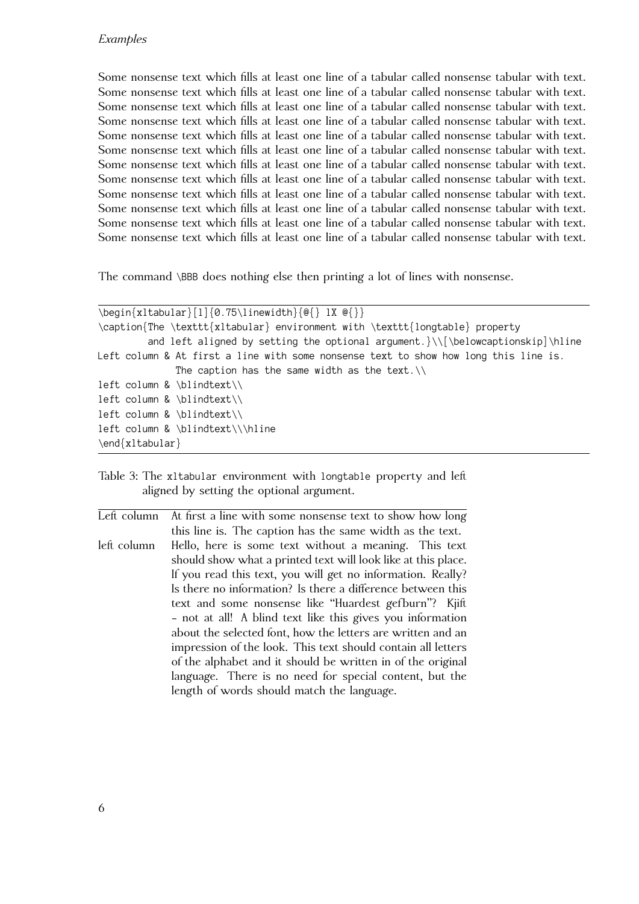Some nonsense text which fills at least one line of a tabular called nonsense tabular with text. Some nonsense text which fills at least one line of a tabular called nonsense tabular with text. Some nonsense text which fills at least one line of a tabular called nonsense tabular with text. Some nonsense text which fills at least one line of a tabular called nonsense tabular with text. Some nonsense text which fills at least one line of a tabular called nonsense tabular with text. Some nonsense text which fills at least one line of a tabular called nonsense tabular with text. Some nonsense text which fills at least one line of a tabular called nonsense tabular with text. Some nonsense text which fills at least one line of a tabular called nonsense tabular with text. Some nonsense text which fills at least one line of a tabular called nonsense tabular with text. Some nonsense text which fills at least one line of a tabular called nonsense tabular with text. Some nonsense text which fills at least one line of a tabular called nonsense tabular with text. Some nonsense text which fills at least one line of a tabular called nonsense tabular with text.

The command \BBB does nothing else then printing a lot of lines with nonsense.

```
\overline{\begin{array}{cc} \text{Mean}\{11}{0.75\line\{\text{mean}\{0\}} \end{array}}\caption{The \texttt{xltabular} environment with \texttt{longtable} property
         and left aligned by setting the optional argument.}\\[\belowcaptionskip]\hline
Left column & At first a line with some nonsense text to show how long this line is.
               The caption has the same width as the text.\setminus\setminusleft column & \blindtext\\
left column & \blindtext\\
left column & \blindtext\\
left column & \blindtext\\\hline
\end{xltabular}
```
<span id="page-5-0"></span>Table 3: The xltabular environment with longtable property and left aligned by setting the optional argument.

| Left column | At first a line with some nonsense text to show how long      |
|-------------|---------------------------------------------------------------|
|             | this line is. The caption has the same width as the text.     |
| left column | Hello, here is some text without a meaning. This text         |
|             | should show what a printed text will look like at this place. |
|             | If you read this text, you will get no information. Really?   |
|             | Is there no information? Is there a difference between this   |
|             | text and some nonsense like "Huardest gefburn"? Kjift         |
|             | - not at all! A blind text like this gives you information    |
|             | about the selected font, how the letters are written and an   |
|             | impression of the look. This text should contain all letters  |
|             | of the alphabet and it should be written in of the original   |
|             | language. There is no need for special content, but the       |
|             | length of words should match the language.                    |
|             |                                                               |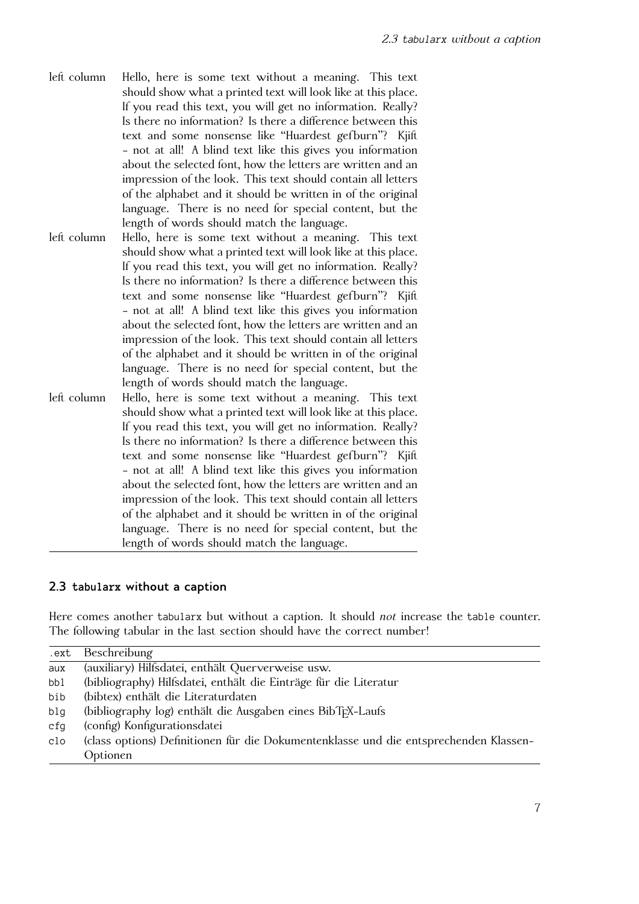- left column Hello, here is some text without a meaning. This text should show what a printed text will look like at this place. If you read this text, you will get no information. Really? Is there no information? Is there a difference between this text and some nonsense like "Huardest gefburn"? Kjift – not at all! A blind text like this gives you information about the selected font, how the letters are written and an impression of the look. This text should contain all letters of the alphabet and it should be written in of the original language. There is no need for special content, but the length of words should match the language.
- left column Hello, here is some text without a meaning. This text should show what a printed text will look like at this place. If you read this text, you will get no information. Really? Is there no information? Is there a difference between this text and some nonsense like "Huardest gefburn"? Kjift – not at all! A blind text like this gives you information about the selected font, how the letters are written and an impression of the look. This text should contain all letters of the alphabet and it should be written in of the original language. There is no need for special content, but the length of words should match the language.
- left column Hello, here is some text without a meaning. This text should show what a printed text will look like at this place. If you read this text, you will get no information. Really? Is there no information? Is there a difference between this text and some nonsense like "Huardest gef burn"? Kjift – not at all! A blind text like this gives you information about the selected font, how the letters are written and an impression of the look. This text should contain all letters of the alphabet and it should be written in of the original language. There is no need for special content, but the length of words should match the language.

#### <span id="page-6-0"></span>**2.3 tabularx without a caption**

Here comes another tabularx but without a caption. It should *not* increase the table counter. The following tabular in the last section should have the correct number!

| .ext | <b>Beschreibung</b>                                                                   |
|------|---------------------------------------------------------------------------------------|
| aux  | (auxiliary) Hilfsdatei, enthält Querverweise usw.                                     |
| bb1  | (bibliography) Hilfsdatei, enthält die Einträge für die Literatur                     |
| bib  | (bibtex) enthält die Literaturdaten                                                   |
| blg  | (bibliography log) enthält die Ausgaben eines BibTFX-Laufs                            |
| cfq  | (config) Konfigurations datei                                                         |
| clo  | (class options) Definitionen für die Dokumentenklasse und die entsprechenden Klassen- |
|      | Optionen                                                                              |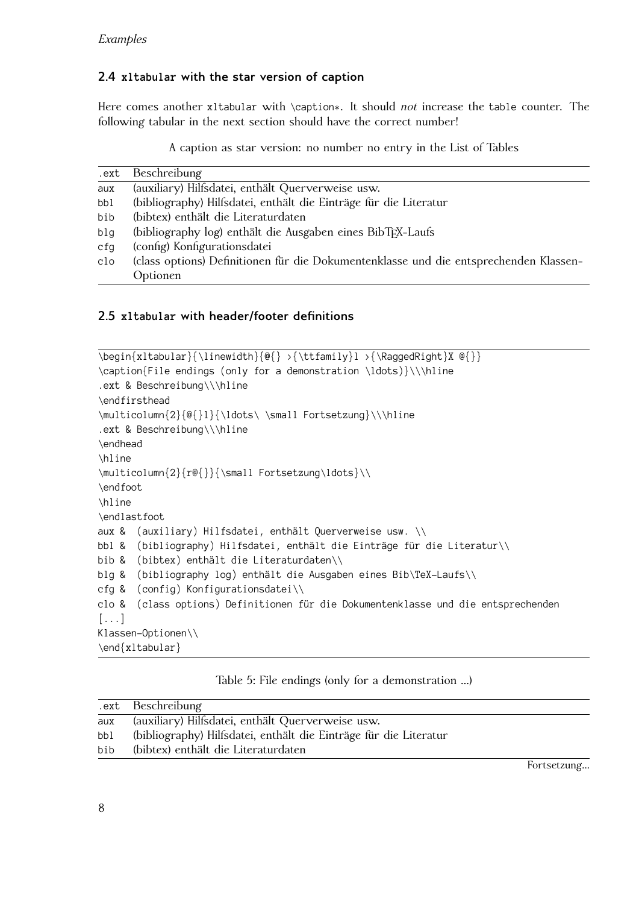#### <span id="page-7-0"></span>**2.4 xltabular with the star version of caption**

Here comes another x1tabular with \caption\*. It should *not* increase the table counter. The following tabular in the next section should have the correct number!

A caption as star version: no number no entry in the List of Tables

| .ext | <b>Beschreibung</b>                                                                   |
|------|---------------------------------------------------------------------------------------|
| aux  | (auxiliary) Hilfsdatei, enthält Querverweise usw.                                     |
| bbl  | (bibliography) Hilfsdatei, enthält die Einträge für die Literatur                     |
| bib  | (bibtex) enthält die Literaturdaten                                                   |
| blg  | (bibliography log) enthält die Ausgaben eines BibTFX-Laufs                            |
| cfq  | (config) Konfigurationsdatei                                                          |
| clo  | (class options) Definitionen für die Dokumentenklasse und die entsprechenden Klassen- |
|      | Optionen                                                                              |

#### <span id="page-7-1"></span>**2.5 xltabular with header/footer definitions**

| \begin{xltabular}{\linewidth}{@{} >{\ttfamily}1 >{\RaggedRight}X @{}}              |  |  |
|------------------------------------------------------------------------------------|--|--|
| \caption{File endings (only for a demonstration \ldots)}\\\hline                   |  |  |
| .ext & Beschreibung\\\hline                                                        |  |  |
| \endfirsthead                                                                      |  |  |
| \multicolumn{2}{@{}1}{\ldots\\small Fortsetzung}\\\hline                           |  |  |
| .ext & Beschreibung\\\hline                                                        |  |  |
| \endhead                                                                           |  |  |
| \hline                                                                             |  |  |
| \multicolumn{2}{r@{}}{\small Fortsetzung\ldots}\\                                  |  |  |
| \endfoot                                                                           |  |  |
| \hline                                                                             |  |  |
| \endlastfoot                                                                       |  |  |
| (auxiliary) Hilfsdatei, enthält Querverweise usw. \\<br>aux &                      |  |  |
| bbl & (bibliography) Hilfsdatei, enthält die Einträge für die Literatur\\          |  |  |
| bib & (bibtex) enthält die Literaturdaten\\                                        |  |  |
| blg & (bibliography log) enthält die Ausgaben eines Bib\TeX-Laufs\\                |  |  |
| cfg & (config) Konfigurationsdatei\\                                               |  |  |
| clo & (class options) Definitionen für die Dokumentenklasse und die entsprechenden |  |  |
| $[\ldots]$                                                                         |  |  |
| Klassen-Optionen\\                                                                 |  |  |
| $\end{xltabular}$                                                                  |  |  |

Table 5: File endings (only for a demonstration …)

<span id="page-7-2"></span>

|     | ext Beschreibung                                                  |
|-----|-------------------------------------------------------------------|
| aux | (auxiliary) Hilfsdatei, enthält Querverweise usw.                 |
| bbl | (bibliography) Hilfsdatei, enthält die Einträge für die Literatur |
| bib | (bibtex) enthält die Literaturdaten                               |

Fortsetzung…